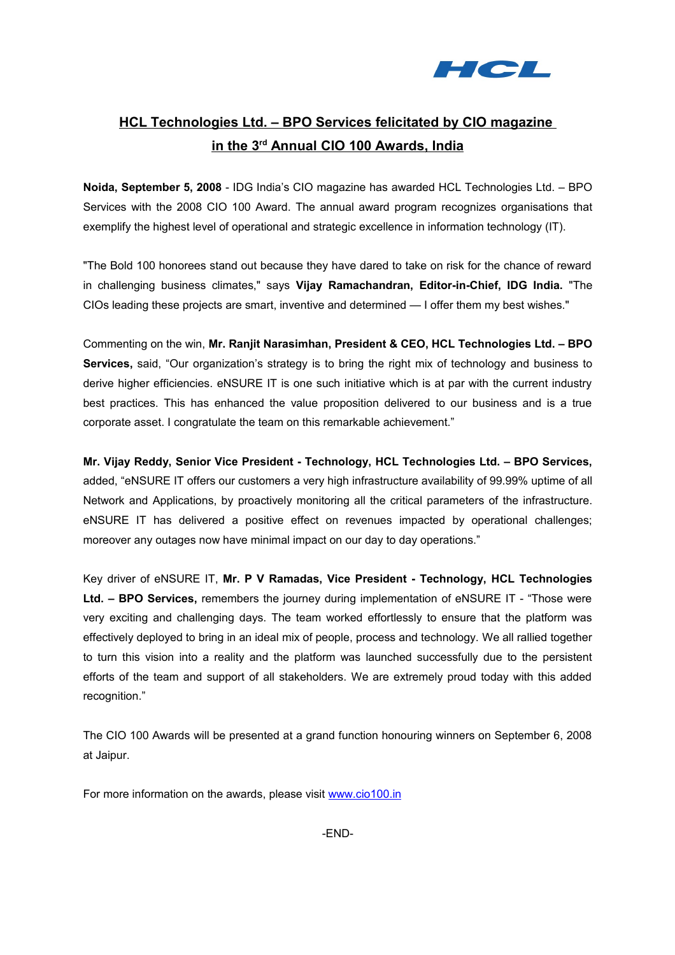

# **HCL Technologies Ltd. – BPO Services felicitated by CIO magazine in the 3rd Annual CIO 100 Awards, India**

**Noida, September 5, 2008** - IDG India's CIO magazine has awarded HCL Technologies Ltd. – BPO Services with the 2008 CIO 100 Award. The annual award program recognizes organisations that exemplify the highest level of operational and strategic excellence in information technology (IT).

"The Bold 100 honorees stand out because they have dared to take on risk for the chance of reward in challenging business climates," says **Vijay Ramachandran, Editor-in-Chief, IDG India.** "The CIOs leading these projects are smart, inventive and determined — I offer them my best wishes."

Commenting on the win, **Mr. Ranjit Narasimhan, President & CEO, HCL Technologies Ltd. – BPO Services,** said, "Our organization's strategy is to bring the right mix of technology and business to derive higher efficiencies. eNSURE IT is one such initiative which is at par with the current industry best practices. This has enhanced the value proposition delivered to our business and is a true corporate asset. I congratulate the team on this remarkable achievement."

**Mr. Vijay Reddy, Senior Vice President - Technology, HCL Technologies Ltd. – BPO Services,** added, "eNSURE IT offers our customers a very high infrastructure availability of 99.99% uptime of all Network and Applications, by proactively monitoring all the critical parameters of the infrastructure. eNSURE IT has delivered a positive effect on revenues impacted by operational challenges; moreover any outages now have minimal impact on our day to day operations."

Key driver of eNSURE IT, **Mr. P V Ramadas, Vice President - Technology, HCL Technologies Ltd. – BPO Services,** remembers the journey during implementation of eNSURE IT - "Those were very exciting and challenging days. The team worked effortlessly to ensure that the platform was effectively deployed to bring in an ideal mix of people, process and technology. We all rallied together to turn this vision into a reality and the platform was launched successfully due to the persistent efforts of the team and support of all stakeholders. We are extremely proud today with this added recognition."

The CIO 100 Awards will be presented at a grand function honouring winners on September 6, 2008 at Jaipur.

For more information on the awards, please visit [www.cio100.in](http://www.cio100.in/)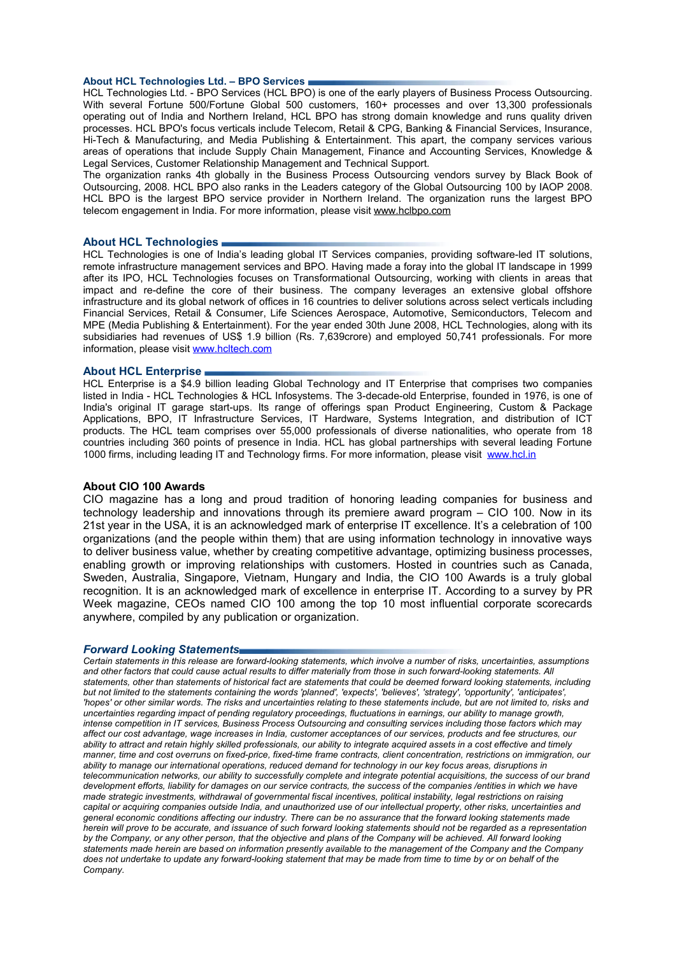#### **About HCL Technologies Ltd. – BPO Services**

HCL Technologies Ltd. - BPO Services (HCL BPO) is one of the early players of Business Process Outsourcing. With several Fortune 500/Fortune Global 500 customers, 160+ processes and over 13,300 professionals operating out of India and Northern Ireland, HCL BPO has strong domain knowledge and runs quality driven processes. HCL BPO's focus verticals include Telecom, Retail & CPG, Banking & Financial Services, Insurance, Hi-Tech & Manufacturing, and Media Publishing & Entertainment. This apart, the company services various areas of operations that include Supply Chain Management, Finance and Accounting Services, Knowledge & Legal Services, Customer Relationship Management and Technical Support.

The organization ranks 4th globally in the Business Process Outsourcing vendors survey by Black Book of Outsourcing, 2008. HCL BPO also ranks in the Leaders category of the Global Outsourcing 100 by IAOP 2008. HCL BPO is the largest BPO service provider in Northern Ireland. The organization runs the largest BPO telecom engagement in India. For more information, please visit [www.hclbpo.com](http://www.hclbpo.com/)

### **About HCL Technologies**

HCL Technologies is one of India's leading global IT Services companies, providing software-led IT solutions, remote infrastructure management services and BPO. Having made a foray into the global IT landscape in 1999 after its IPO, HCL Technologies focuses on Transformational Outsourcing, working with clients in areas that impact and re-define the core of their business. The company leverages an extensive global offshore infrastructure and its global network of offices in 16 countries to deliver solutions across select verticals including Financial Services, Retail & Consumer, Life Sciences Aerospace, Automotive, Semiconductors, Telecom and MPE (Media Publishing & Entertainment). For the year ended 30th June 2008, HCL Technologies, along with its subsidiaries had revenues of US\$ 1.9 billion (Rs. 7,639crore) and employed 50,741 professionals. For more information, please visit [www.hcltech.com](http://www.hcltech.com/)

#### **About HCL Enterprise**

HCL Enterprise is a \$4.9 billion leading Global Technology and IT Enterprise that comprises two companies listed in India - HCL Technologies & HCL Infosystems. The 3-decade-old Enterprise, founded in 1976, is one of India's original IT garage start-ups. Its range of offerings span Product Engineering, Custom & Package Applications, BPO, IT Infrastructure Services, IT Hardware, Systems Integration, and distribution of ICT products. The HCL team comprises over 55,000 professionals of diverse nationalities, who operate from 18 countries including 360 points of presence in India. HCL has global partnerships with several leading Fortune 1000 firms, including leading IT and Technology firms. For more information, please visit [www.hcl.in](http://www.hcl.in/)

### **About CIO 100 Awards**

CIO magazine has a long and proud tradition of honoring leading companies for business and technology leadership and innovations through its premiere award program – CIO 100. Now in its 21st year in the USA, it is an acknowledged mark of enterprise IT excellence. It's a celebration of 100 organizations (and the people within them) that are using information technology in innovative ways to deliver business value, whether by creating competitive advantage, optimizing business processes, enabling growth or improving relationships with customers. Hosted in countries such as Canada, Sweden, Australia, Singapore, Vietnam, Hungary and India, the CIO 100 Awards is a truly global recognition. It is an acknowledged mark of excellence in enterprise IT. According to a survey by PR Week magazine, CEOs named CIO 100 among the top 10 most influential corporate scorecards anywhere, compiled by any publication or organization.

#### *Forward Looking Statements*

*Certain statements in this release are forward-looking statements, which involve a number of risks, uncertainties, assumptions and other factors that could cause actual results to differ materially from those in such forward-looking statements. All statements, other than statements of historical fact are statements that could be deemed forward looking statements, including but not limited to the statements containing the words 'planned', 'expects', 'believes', 'strategy', 'opportunity', 'anticipates', 'hopes' or other similar words. The risks and uncertainties relating to these statements include, but are not limited to, risks and uncertainties regarding impact of pending regulatory proceedings, fluctuations in earnings, our ability to manage growth, intense competition in IT services, Business Process Outsourcing and consulting services including those factors which may affect our cost advantage, wage increases in India, customer acceptances of our services, products and fee structures, our ability to attract and retain highly skilled professionals, our ability to integrate acquired assets in a cost effective and timely manner, time and cost overruns on fixed-price, fixed-time frame contracts, client concentration, restrictions on immigration, our ability to manage our international operations, reduced demand for technology in our key focus areas, disruptions in telecommunication networks, our ability to successfully complete and integrate potential acquisitions, the success of our brand development efforts, liability for damages on our service contracts, the success of the companies /entities in which we have made strategic investments, withdrawal of governmental fiscal incentives, political instability, legal restrictions on raising capital or acquiring companies outside India, and unauthorized use of our intellectual property, other risks, uncertainties and general economic conditions affecting our industry. There can be no assurance that the forward looking statements made herein will prove to be accurate, and issuance of such forward looking statements should not be regarded as a representation by the Company, or any other person, that the objective and plans of the Company will be achieved. All forward looking statements made herein are based on information presently available to the management of the Company and the Company does not undertake to update any forward-looking statement that may be made from time to time by or on behalf of the Company.*